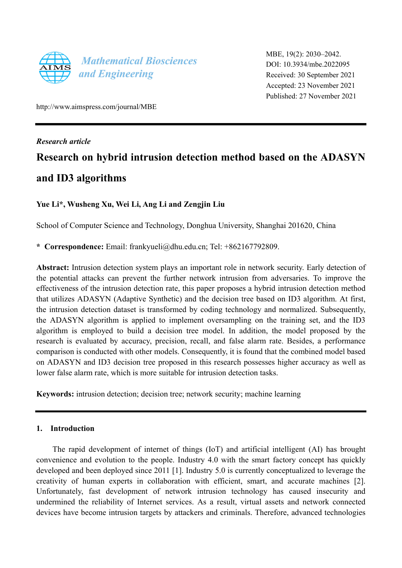

MBE, 19(2): 2030–2042. DOI: 10.3934/mbe.2022095 Received: 30 September 2021 Accepted: 23 November 2021 Published: 27 November 2021

http://www.aimspress.com/journal/MBE

*Research article* 

# **Research on hybrid intrusion detection method based on the ADASYN and ID3 algorithms**

# **Yue Li\*, Wusheng Xu, Wei Li, Ang Li and Zengjin Liu**

School of Computer Science and Technology, Donghua University, Shanghai 201620, China

**\* Correspondence:** Email: frankyueli@dhu.edu.cn; Tel: +862167792809.

**Abstract:** Intrusion detection system plays an important role in network security. Early detection of the potential attacks can prevent the further network intrusion from adversaries. To improve the effectiveness of the intrusion detection rate, this paper proposes a hybrid intrusion detection method that utilizes ADASYN (Adaptive Synthetic) and the decision tree based on ID3 algorithm. At first, the intrusion detection dataset is transformed by coding technology and normalized. Subsequently, the ADASYN algorithm is applied to implement oversampling on the training set, and the ID3 algorithm is employed to build a decision tree model. In addition, the model proposed by the research is evaluated by accuracy, precision, recall, and false alarm rate. Besides, a performance comparison is conducted with other models. Consequently, it is found that the combined model based on ADASYN and ID3 decision tree proposed in this research possesses higher accuracy as well as lower false alarm rate, which is more suitable for intrusion detection tasks.

**Keywords:** intrusion detection; decision tree; network security; machine learning

# **1. Introduction**

The rapid development of internet of things (IoT) and artificial intelligent (AI) has brought convenience and evolution to the people. Industry 4.0 with the smart factory concept has quickly developed and been deployed since 2011 [1]. Industry 5.0 is currently conceptualized to leverage the creativity of human experts in collaboration with efficient, smart, and accurate machines [2]. Unfortunately, fast development of network intrusion technology has caused insecurity and undermined the reliability of Internet services. As a result, virtual assets and network connected devices have become intrusion targets by attackers and criminals. Therefore, advanced technologies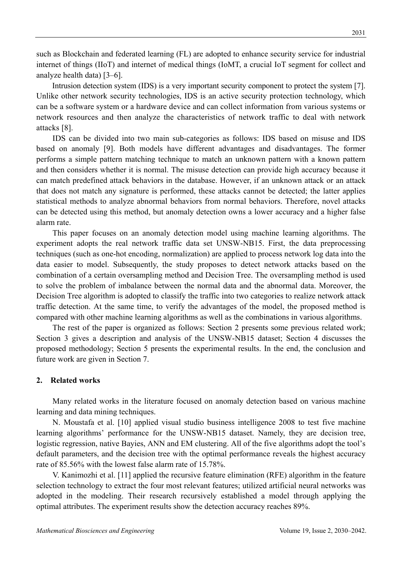such as Blockchain and federated learning (FL) are adopted to enhance security service for industrial internet of things (IIoT) and internet of medical things (IoMT, a crucial IoT segment for collect and analyze health data) [3–6].

Intrusion detection system (IDS) is a very important security component to protect the system [7]. Unlike other network security technologies, IDS is an active security protection technology, which can be a software system or a hardware device and can collect information from various systems or network resources and then analyze the characteristics of network traffic to deal with network attacks [8].

IDS can be divided into two main sub-categories as follows: IDS based on misuse and IDS based on anomaly [9]. Both models have different advantages and disadvantages. The former performs a simple pattern matching technique to match an unknown pattern with a known pattern and then considers whether it is normal. The misuse detection can provide high accuracy because it can match predefined attack behaviors in the database. However, if an unknown attack or an attack that does not match any signature is performed, these attacks cannot be detected; the latter applies statistical methods to analyze abnormal behaviors from normal behaviors. Therefore, novel attacks can be detected using this method, but anomaly detection owns a lower accuracy and a higher false alarm rate.

This paper focuses on an anomaly detection model using machine learning algorithms. The experiment adopts the real network traffic data set UNSW-NB15. First, the data preprocessing techniques (such as one-hot encoding, normalization) are applied to process network log data into the data easier to model. Subsequently, the study proposes to detect network attacks based on the combination of a certain oversampling method and Decision Tree. The oversampling method is used to solve the problem of imbalance between the normal data and the abnormal data. Moreover, the Decision Tree algorithm is adopted to classify the traffic into two categories to realize network attack traffic detection. At the same time, to verify the advantages of the model, the proposed method is compared with other machine learning algorithms as well as the combinations in various algorithms.

The rest of the paper is organized as follows: Section 2 presents some previous related work; Section 3 gives a description and analysis of the UNSW-NB15 dataset; Section 4 discusses the proposed methodology; Section 5 presents the experimental results. In the end, the conclusion and future work are given in Section 7.

## **2. Related works**

Many related works in the literature focused on anomaly detection based on various machine learning and data mining techniques.

N. Moustafa et al. [10] applied visual studio business intelligence 2008 to test five machine learning algorithms' performance for the UNSW-NB15 dataset. Namely, they are decision tree, logistic regression, native Bayies, ANN and EM clustering. All of the five algorithms adopt the tool's default parameters, and the decision tree with the optimal performance reveals the highest accuracy rate of 85.56% with the lowest false alarm rate of 15.78%.

V. Kanimozhi et al. [11] applied the recursive feature elimination (RFE) algorithm in the feature selection technology to extract the four most relevant features; utilized artificial neural networks was adopted in the modeling. Their research recursively established a model through applying the optimal attributes. The experiment results show the detection accuracy reaches 89%.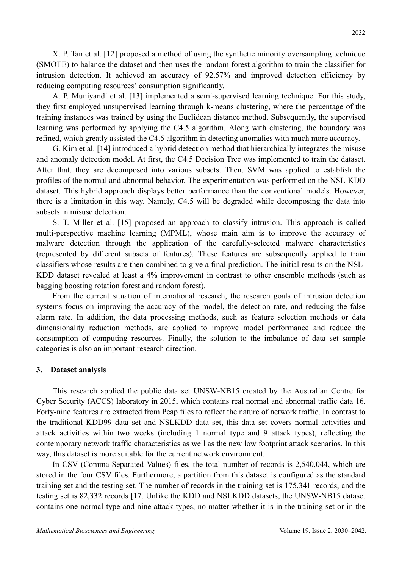X. P. Tan et al. [12] proposed a method of using the synthetic minority oversampling technique (SMOTE) to balance the dataset and then uses the random forest algorithm to train the classifier for intrusion detection. It achieved an accuracy of 92.57% and improved detection efficiency by reducing computing resources' consumption significantly.

A. P. Muniyandi et al. [13] implemented a semi-supervised learning technique. For this study, they first employed unsupervised learning through k-means clustering, where the percentage of the training instances was trained by using the Euclidean distance method. Subsequently, the supervised learning was performed by applying the C4.5 algorithm. Along with clustering, the boundary was refined, which greatly assisted the C4.5 algorithm in detecting anomalies with much more accuracy.

G. Kim et al. [14] introduced a hybrid detection method that hierarchically integrates the misuse and anomaly detection model. At first, the C4.5 Decision Tree was implemented to train the dataset. After that, they are decomposed into various subsets. Then, SVM was applied to establish the profiles of the normal and abnormal behavior. The experimentation was performed on the NSL-KDD dataset. This hybrid approach displays better performance than the conventional models. However, there is a limitation in this way. Namely, C4.5 will be degraded while decomposing the data into subsets in misuse detection.

S. T. Miller et al. [15] proposed an approach to classify intrusion. This approach is called multi-perspective machine learning (MPML), whose main aim is to improve the accuracy of malware detection through the application of the carefully-selected malware characteristics (represented by different subsets of features). These features are subsequently applied to train classifiers whose results are then combined to give a final prediction. The initial results on the NSL-KDD dataset revealed at least a 4% improvement in contrast to other ensemble methods (such as bagging boosting rotation forest and random forest).

From the current situation of international research, the research goals of intrusion detection systems focus on improving the accuracy of the model, the detection rate, and reducing the false alarm rate. In addition, the data processing methods, such as feature selection methods or data dimensionality reduction methods, are applied to improve model performance and reduce the consumption of computing resources. Finally, the solution to the imbalance of data set sample categories is also an important research direction.

#### **3. Dataset analysis**

This research applied the public data set UNSW-NB15 created by the Australian Centre for Cyber Security (ACCS) laboratory in 2015, which contains real normal and abnormal traffic data 16. Forty-nine features are extracted from Pcap files to reflect the nature of network traffic. In contrast to the traditional KDD99 data set and NSLKDD data set, this data set covers normal activities and attack activities within two weeks (including 1 normal type and 9 attack types), reflecting the contemporary network traffic characteristics as well as the new low footprint attack scenarios. In this way, this dataset is more suitable for the current network environment.

In CSV (Comma-Separated Values) files, the total number of records is 2,540,044, which are stored in the four CSV files. Furthermore, a partition from this dataset is configured as the standard training set and the testing set. The number of records in the training set is 175,341 records, and the testing set is 82,332 records [17. Unlike the KDD and NSLKDD datasets, the UNSW-NB15 dataset contains one normal type and nine attack types, no matter whether it is in the training set or in the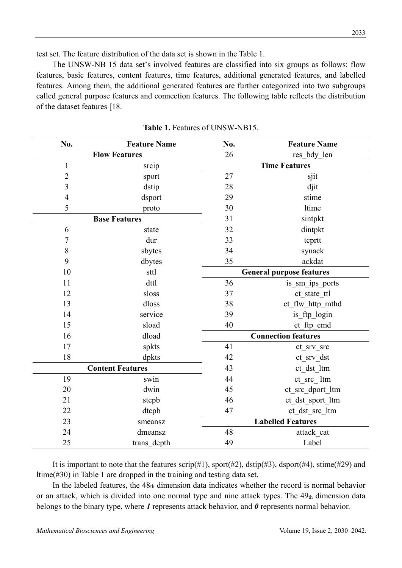test set. The feature distribution of the data set is shown in the Table 1.

The UNSW-NB 15 data set's involved features are classified into six groups as follows: flow features, basic features, content features, time features, additional generated features, and labelled features. Among them, the additional generated features are further categorized into two subgroups called general purpose features and connection features. The following table reflects the distribution of the dataset features [18.

| No.                     | <b>Feature Name</b>  | No.                             | <b>Feature Name</b>  |  |
|-------------------------|----------------------|---------------------------------|----------------------|--|
|                         | <b>Flow Features</b> | 26                              | res bdy len          |  |
| $\mathbf{1}$            | srcip                |                                 | <b>Time Features</b> |  |
| $\overline{c}$          | sport                | 27                              | sjit                 |  |
| 3                       | dstip                | 28                              | djit                 |  |
| 4                       | dsport               | 29                              | stime                |  |
| 5                       | proto                | 30                              | ltime                |  |
|                         | <b>Base Features</b> | 31                              | sintpkt              |  |
| 6                       | state                | 32                              | dintpkt              |  |
| $\overline{7}$          | dur                  | 33                              | tcprtt               |  |
| 8                       | sbytes               | 34                              | synack               |  |
| 9                       | dbytes               | 35                              | ackdat               |  |
| 10                      | sttl                 | <b>General purpose features</b> |                      |  |
| 11                      | dttl                 | 36                              | is sm ips ports      |  |
| 12                      | sloss                | 37                              | ct state ttl         |  |
| 13                      | dloss                | 38<br>ct_flw_http_mthd          |                      |  |
| 14                      | service              | 39<br>is ftp login              |                      |  |
| 15                      | sload                | 40                              | ct ftp cmd           |  |
| 16                      | dload                | <b>Connection features</b>      |                      |  |
| 17                      | spkts                | 41                              | ct srv src           |  |
| 18                      | dpkts                | 42                              | ct srv dst           |  |
| <b>Content Features</b> |                      | 43                              | ct dst_ltm           |  |
| 19                      | swin                 | 44                              | ct src ltm           |  |
| 20                      | dwin                 | 45                              | ct src dport ltm     |  |
| 21                      | stcpb                | 46                              | ct_dst_sport_ltm     |  |
| 22                      | dtcpb                | 47                              | ct_dst_src_ltm       |  |
| 23                      | smeansz              | <b>Labelled Features</b>        |                      |  |
| 24                      | dmeansz              | 48                              | attack cat           |  |
| 25                      | trans depth          | 49                              | Label                |  |

Table 1. Features of UNSW-NB15.

It is important to note that the features scrip(#1), sport(#2), dstip(#3), dsport(#4), stime(#29) and ltime(#30) in Table 1 are dropped in the training and testing data set.

In the labeled features, the 48th dimension data indicates whether the record is normal behavior or an attack, which is divided into one normal type and nine attack types. The 49th dimension data belongs to the binary type, where *1* represents attack behavior, and *0* represents normal behavior.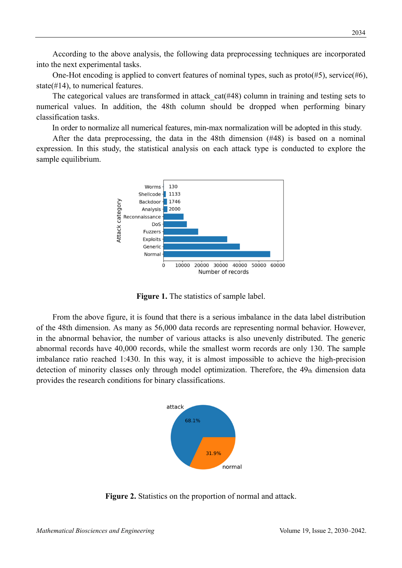According to the above analysis, the following data preprocessing techniques are incorporated into the next experimental tasks.

One-Hot encoding is applied to convert features of nominal types, such as proto(#5), service(#6), state( $#14$ ), to numerical features.

The categorical values are transformed in attack cat(#48) column in training and testing sets to numerical values. In addition, the 48th column should be dropped when performing binary classification tasks.

In order to normalize all numerical features, min-max normalization will be adopted in this study.

After the data preprocessing, the data in the 48th dimension (#48) is based on a nominal expression. In this study, the statistical analysis on each attack type is conducted to explore the sample equilibrium.



**Figure 1.** The statistics of sample label.

From the above figure, it is found that there is a serious imbalance in the data label distribution of the 48th dimension. As many as 56,000 data records are representing normal behavior. However, in the abnormal behavior, the number of various attacks is also unevenly distributed. The generic abnormal records have 40,000 records, while the smallest worm records are only 130. The sample imbalance ratio reached 1:430. In this way, it is almost impossible to achieve the high-precision detection of minority classes only through model optimization. Therefore, the 49th dimension data provides the research conditions for binary classifications.



**Figure 2.** Statistics on the proportion of normal and attack.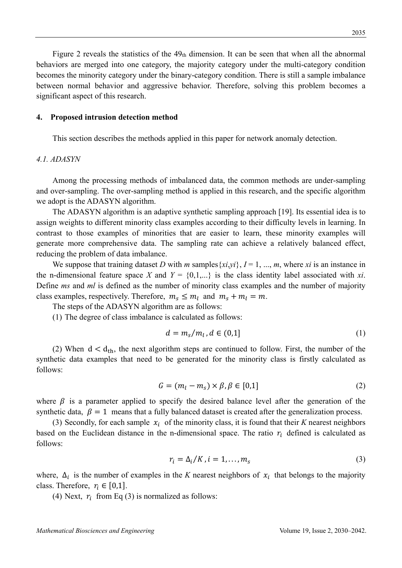Figure 2 reveals the statistics of the  $49<sub>th</sub>$  dimension. It can be seen that when all the abnormal behaviors are merged into one category, the majority category under the multi-category condition becomes the minority category under the binary-category condition. There is still a sample imbalance between normal behavior and aggressive behavior. Therefore, solving this problem becomes a significant aspect of this research.

#### **4. Proposed intrusion detection method**

This section describes the methods applied in this paper for network anomaly detection.

### *4.1. ADASYN*

Among the processing methods of imbalanced data, the common methods are under-sampling and over-sampling. The over-sampling method is applied in this research, and the specific algorithm we adopt is the ADASYN algorithm.

The ADASYN algorithm is an adaptive synthetic sampling approach [19]. Its essential idea is to assign weights to different minority class examples according to their difficulty levels in learning. In contrast to those examples of minorities that are easier to learn, these minority examples will generate more comprehensive data. The sampling rate can achieve a relatively balanced effect, reducing the problem of data imbalance.

We suppose that training dataset *D* with *m* samples  $\{xi, y\}$ ,  $I = 1, ..., m$ , where *xi* is an instance in the n-dimensional feature space X and  $Y = \{0,1,...\}$  is the class identity label associated with xi. Define *ms* and *ml* is defined as the number of minority class examples and the number of majority class examples, respectively. Therefore,  $m_s \le m_l$  and  $m_s + m_l = m$ .

The steps of the ADASYN algorithm are as follows:

(1) The degree of class imbalance is calculated as follows:

$$
d = m_s/m_l, d \in (0,1]
$$
 (1)

(2) When  $d < d_{th}$ , the next algorithm steps are continued to follow. First, the number of the synthetic data examples that need to be generated for the minority class is firstly calculated as follows:

$$
G = (m_l - m_s) \times \beta, \beta \in [0,1]
$$
 (2)

where  $\beta$  is a parameter applied to specify the desired balance level after the generation of the synthetic data,  $\beta = 1$  means that a fully balanced dataset is created after the generalization process.

(3) Secondly, for each sample  $x_i$  of the minority class, it is found that their *K* nearest neighbors based on the Euclidean distance in the n-dimensional space. The ratio  $r_i$  defined is calculated as follows:

$$
r_i = \Delta_i / K, i = 1, \dots, m_s \tag{3}
$$

where,  $\Delta_i$  is the number of examples in the *K* nearest neighbors of  $x_i$  that belongs to the majority class. Therefore,  $r_i \in [0,1]$ .

(4) Next,  $r_i$  from Eq (3) is normalized as follows:

2035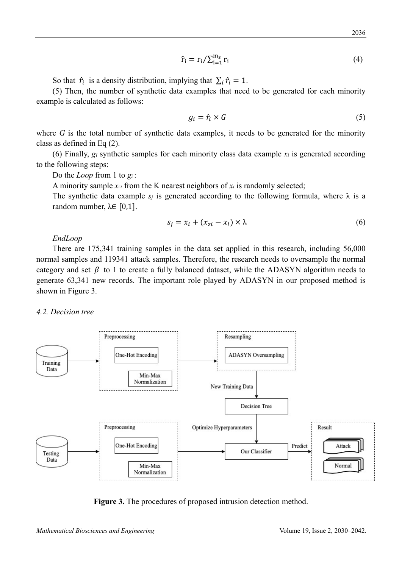$$
\hat{\mathbf{r}}_i = \mathbf{r}_i / \sum_{i=1}^{m_s} \mathbf{r}_i \tag{4}
$$

So that  $\hat{r}_i$  is a density distribution, implying that  $\sum_i \hat{r}_i = 1$ .

(5) Then, the number of synthetic data examples that need to be generated for each minority example is calculated as follows:

$$
g_i = \hat{r}_i \times G \tag{5}
$$

where *G* is the total number of synthetic data examples, it needs to be generated for the minority class as defined in Eq (2).

(6) Finally, *gi* synthetic samples for each minority class data example *xi* is generated according to the following steps:

Do the *Loop* from 1 to *gi* :

A minority sample  $x_{zi}$  from the K nearest neighbors of  $x_i$  is randomly selected;

The synthetic data example  $s_i$  is generated according to the following formula, where  $\lambda$  is a random number,  $λ∈ [0,1]$ .

$$
s_j = x_i + (x_{zi} - x_i) \times \lambda \tag{6}
$$

#### *EndLoop*

There are 175,341 training samples in the data set applied in this research, including 56,000 normal samples and 119341 attack samples. Therefore, the research needs to oversample the normal category and set  $\beta$  to 1 to create a fully balanced dataset, while the ADASYN algorithm needs to generate 63,341 new records. The important role played by ADASYN in our proposed method is shown in Figure 3.

#### *4.2. Decision tree*



**Figure 3.** The procedures of proposed intrusion detection method.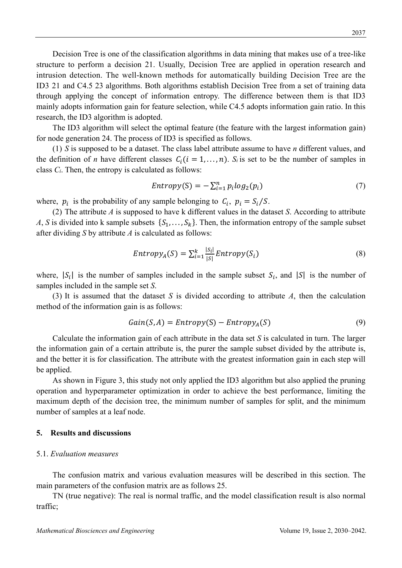Decision Tree is one of the classification algorithms in data mining that makes use of a tree-like structure to perform a decision 21. Usually, Decision Tree are applied in operation research and intrusion detection. The well-known methods for automatically building Decision Tree are the ID3 21 and C4.5 23 algorithms. Both algorithms establish Decision Tree from a set of training data through applying the concept of information entropy. The difference between them is that ID3 mainly adopts information gain for feature selection, while C4.5 adopts information gain ratio. In this research, the ID3 algorithm is adopted.

The ID3 algorithm will select the optimal feature (the feature with the largest information gain) for node generation 24. The process of ID3 is specified as follows.

(1) *S* is supposed to be a dataset. The class label attribute assume to have *n* different values, and the definition of *n* have different classes  $C_i$  ( $i = 1, ..., n$ ).  $S_i$  is set to be the number of samples in class *Ci*. Then, the entropy is calculated as follows:

$$
Entropy(S) = -\sum_{i=1}^{n} p_i \log_2(p_i)
$$
\n(7)

where,  $p_i$  is the probability of any sample belonging to  $C_i$ ,  $p_i = S_i/S$ .

(2) The attribute *A* is supposed to have k different values in the dataset *S*. According to attribute *A*, *S* is divided into k sample subsets  $\{S_1, \ldots, S_k\}$ . Then, the information entropy of the sample subset after dividing *S* by attribute *A* is calculated as follows:

$$
Entropy_A(S) = \sum_{i=1}^{k} \frac{|S_i|}{|S|} Entropy(S_i)
$$
\n(8)

where,  $|S_i|$  is the number of samples included in the sample subset  $S_i$ , and  $|S|$  is the number of samples included in the sample set *S*.

(3) It is assumed that the dataset *S* is divided according to attribute *A*, then the calculation method of the information gain is as follows:

$$
Gain(S, A) = Entropy(S) - Entropy_A(S)
$$
\n(9)

Calculate the information gain of each attribute in the data set *S* is calculated in turn. The larger the information gain of a certain attribute is, the purer the sample subset divided by the attribute is, and the better it is for classification. The attribute with the greatest information gain in each step will be applied.

As shown in Figure 3, this study not only applied the ID3 algorithm but also applied the pruning operation and hyperparameter optimization in order to achieve the best performance, limiting the maximum depth of the decision tree, the minimum number of samples for split, and the minimum number of samples at a leaf node.

#### **5. Results and discussions**

#### 5.1. *Evaluation measures*

The confusion matrix and various evaluation measures will be described in this section. The main parameters of the confusion matrix are as follows 25.

TN (true negative): The real is normal traffic, and the model classification result is also normal traffic;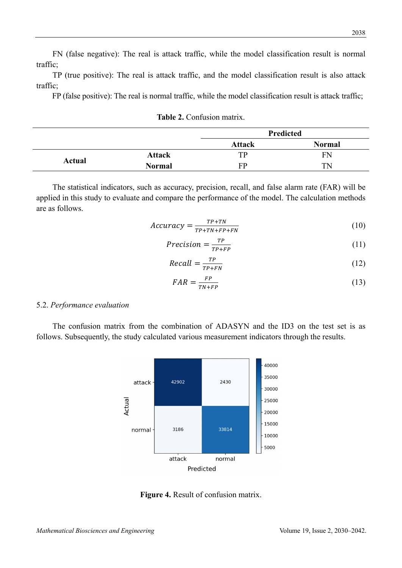FN (false negative): The real is attack traffic, while the model classification result is normal traffic;

TP (true positive): The real is attack traffic, and the model classification result is also attack traffic;

FP (false positive): The real is normal traffic, while the model classification result is attack traffic;

|  | Table 2. Confusion matrix. |  |
|--|----------------------------|--|
|--|----------------------------|--|

|        |               |               | Predicted     |
|--------|---------------|---------------|---------------|
|        |               | <b>Attack</b> | <b>Normal</b> |
|        | <b>Attack</b> | TP            | FN            |
| Actual | <b>Normal</b> | FP            | TN            |

The statistical indicators, such as accuracy, precision, recall, and false alarm rate (FAR) will be applied in this study to evaluate and compare the performance of the model. The calculation methods are as follows.

$$
Accuracy = \frac{TP + TN}{TP + TN + FP + FN}
$$
 (10)

$$
Precision = \frac{TP}{TP + FP}
$$
 (11)

$$
Recall = \frac{TP}{TP + FN} \tag{12}
$$

$$
FAR = \frac{FP}{TN + FP} \tag{13}
$$

## 5.2. *Performance evaluation*

The confusion matrix from the combination of ADASYN and the ID3 on the test set is as follows. Subsequently, the study calculated various measurement indicators through the results.



**Figure 4.** Result of confusion matrix.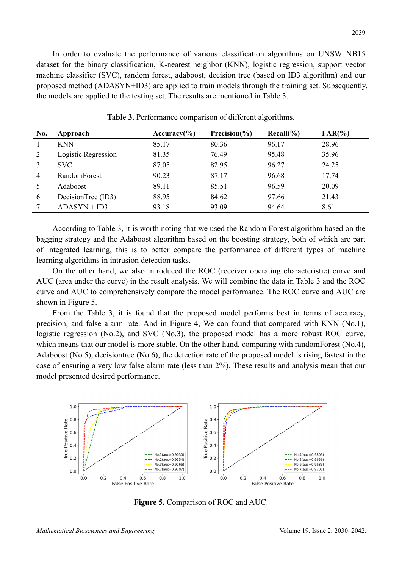In order to evaluate the performance of various classification algorithms on UNSW\_NB15 dataset for the binary classification, K-nearest neighbor (KNN), logistic regression, support vector machine classifier (SVC), random forest, adaboost, decision tree (based on ID3 algorithm) and our proposed method (ADASYN+ID3) are applied to train models through the training set. Subsequently, the models are applied to the testing set. The results are mentioned in Table 3.

| No. | Approach            | Accuracy $(\% )$ | Precision $(\% )$ | $Recall(\% )$ | $FAR(\% )$ |
|-----|---------------------|------------------|-------------------|---------------|------------|
|     | <b>KNN</b>          | 85.17            | 80.36             | 96.17         | 28.96      |
| 2   | Logistic Regression | 81.35            | 76.49             | 95.48         | 35.96      |
|     | <b>SVC</b>          | 87.05            | 82.95             | 96.27         | 24.25      |
| 4   | RandomForest        | 90.23            | 87.17             | 96.68         | 17.74      |
|     | Adaboost            | 89.11            | 85.51             | 96.59         | 20.09      |
| 6   | DecisionTree (ID3)  | 88.95            | 84.62             | 97.66         | 21.43      |
|     | $ADASYN + ID3$      | 93.18            | 93.09             | 94.64         | 8.61       |

**Table 3.** Performance comparison of different algorithms.

According to Table 3, it is worth noting that we used the Random Forest algorithm based on the bagging strategy and the Adaboost algorithm based on the boosting strategy, both of which are part of integrated learning, this is to better compare the performance of different types of machine learning algorithms in intrusion detection tasks.

On the other hand, we also introduced the ROC (receiver operating characteristic) curve and AUC (area under the curve) in the result analysis. We will combine the data in Table 3 and the ROC curve and AUC to comprehensively compare the model performance. The ROC curve and AUC are shown in Figure 5.

From the Table 3, it is found that the proposed model performs best in terms of accuracy, precision, and false alarm rate. And in Figure 4, We can found that compared with KNN (No.1), logistic regression (No.2), and SVC (No.3), the proposed model has a more robust ROC curve, which means that our model is more stable. On the other hand, comparing with randomForest (No.4), Adaboost (No.5), decisiontree (No.6), the detection rate of the proposed model is rising fastest in the case of ensuring a very low false alarm rate (less than 2%). These results and analysis mean that our model presented desired performance.



**Figure 5.** Comparison of ROC and AUC.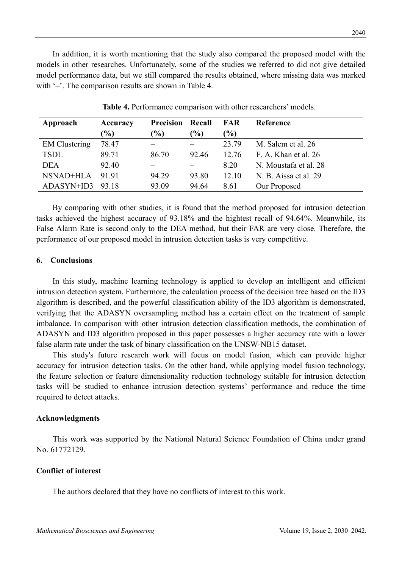In addition, it is worth mentioning that the study also compared the proposed model with the models in other researches. Unfortunately, some of the studies we referred to did not give detailed model performance data, but we still compared the results obtained, where missing data was marked with  $\div$ . The comparison results are shown in Table 4.

| Approach             | Accuracy                     | <b>Precision Recall</b> |       | <b>FAR</b> | Reference             |
|----------------------|------------------------------|-------------------------|-------|------------|-----------------------|
|                      | $\left( \frac{0}{0} \right)$ | $(\%)$                  | (%)   | $(\%)$     |                       |
| <b>EM</b> Clustering | 78.47                        |                         |       | 23.79      | M. Salem et al. 26    |
| <b>TSDL</b>          | 89.71                        | 86.70                   | 92.46 | 12.76      | F. A. Khan et al. 26  |
| <b>DEA</b>           | 92.40                        |                         |       | 8.20       | N. Moustafa et al. 28 |
| NSNAD+HLA            | 91.91                        | 94.29                   | 93.80 | 12.10      | N. B. Aissa et al. 29 |
| ADASYN+ID3           | 93.18                        | 93.09                   | 94.64 | 8.61       | Our Proposed          |

**Table 4.** Performance comparison with other researchers' models.

By comparing with other studies, it is found that the method proposed for intrusion detection tasks achieved the highest accuracy of 93.18% and the hightest recall of 94.64%. Meanwhile, its False Alarm Rate is second only to the DEA method, but their FAR are very close. Therefore, the performance of our proposed model in intrusion detection tasks is very competitive.

#### **6. Conclusions**

In this study, machine learning technology is applied to develop an intelligent and efficient intrusion detection system. Furthermore, the calculation process of the decision tree based on the ID3 algorithm is described, and the powerful classification ability of the ID3 algorithm is demonstrated, verifying that the ADASYN oversampling method has a certain effect on the treatment of sample imbalance. In comparison with other intrusion detection classification methods, the combination of ADASYN and ID3 algorithm proposed in this paper possesses a higher accuracy rate with a lower false alarm rate under the task of binary classification on the UNSW-NB15 dataset.

This study's future research work will focus on model fusion, which can provide higher accuracy for intrusion detection tasks. On the other hand, while applying model fusion technology, the feature selection or feature dimensionality reduction technology suitable for intrusion detection tasks will be studied to enhance intrusion detection systems' performance and reduce the time required to detect attacks.

#### **Acknowledgments**

This work was supported by the National Natural Science Foundation of China under grand No. 61772129.

## **Conflict of interest**

The authors declared that they have no conflicts of interest to this work.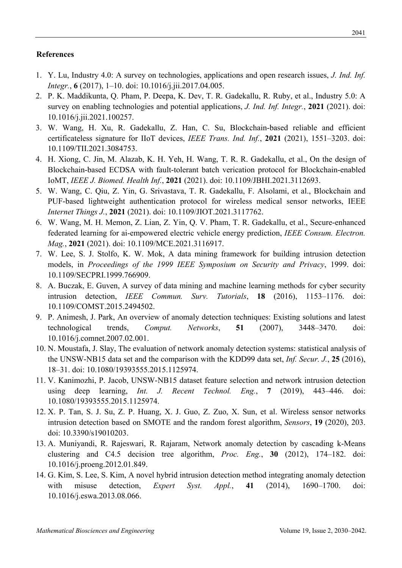# **References**

- 1. Y. Lu, Industry 4.0: A survey on technologies, applications and open research issues, *J. Ind. Inf. Integr.*, **6** (2017), 1–10. doi: 10.1016/j.jii.2017.04.005.
- 2. P. K. Maddikunta, Q. Pham, P. Deepa, K. Dev, T. R. Gadekallu, R. Ruby, et al., Industry 5.0: A survey on enabling technologies and potential applications, *J. Ind. Inf. Integr.*, **2021** (2021). doi: 10.1016/j.jii.2021.100257.
- 3. W. Wang, H. Xu, R. Gadekallu, Z. Han, C. Su, Blockchain-based reliable and efficient certificateless signature for IIoT devices, *IEEE Trans. Ind. Inf.*, **2021** (2021), 1551–3203. doi: 10.1109/TII.2021.3084753.
- 4. H. Xiong, C. Jin, M. Alazab, K. H. Yeh, H. Wang, T. R. R. Gadekallu, et al., On the design of Blockchain-based ECDSA with fault-tolerant batch verication protocol for Blockchain-enabled IoMT, *IEEE J. Biomed. Health Inf.*, **2021** (2021). doi: 10.1109/JBHI.2021.3112693.
- 5. W. Wang, C. Qiu, Z. Yin, G. Srivastava, T. R. Gadekallu, F. Alsolami, et al., Blockchain and PUF-based lightweight authentication protocol for wireless medical sensor networks, IEEE *Internet Things J.*, **2021** (2021). doi: 10.1109/JIOT.2021.3117762.
- 6. W. Wang, M. H. Memon, Z. Lian, Z. Yin, Q. V. Pham, T. R. Gadekallu, et al., Secure-enhanced federated learning for ai-empowered electric vehicle energy prediction, *IEEE Consum. Electron. Mag.*, **2021** (2021). doi: 10.1109/MCE.2021.3116917.
- 7. W. Lee, S. J. Stolfo, K. W. Mok, A data mining framework for building intrusion detection models, in *Proceedings of the 1999 IEEE Symposium on Security and Privacy*, 1999. doi: 10.1109/SECPRI.1999.766909.
- 8. A. Buczak, E. Guven, A survey of data mining and machine learning methods for cyber security intrusion detection, *IEEE Commun. Surv. Tutorials*, **18** (2016), 1153–1176. doi: 10.1109/COMST.2015.2494502.
- 9. P. Animesh, J. Park, An overview of anomaly detection techniques: Existing solutions and latest technological trends, *Comput. Networks*, **51** (2007), 3448–3470. doi: 10.1016/j.comnet.2007.02.001.
- 10. N. Moustafa, J. Slay, The evaluation of network anomaly detection systems: statistical analysis of the UNSW-NB15 data set and the comparison with the KDD99 data set, *Inf. Secur. J.*, **25** (2016), 18–31. doi: 10.1080/19393555.2015.1125974.
- 11. V. Kanimozhi, P. Jacob, UNSW-NB15 dataset feature selection and network intrusion detection using deep learning, *Int. J. Recent Technol. Eng.*, **7** (2019), 443–446. doi: 10.1080/19393555.2015.1125974.
- 12. X. P. Tan, S. J. Su, Z. P. Huang, X. J. Guo, Z. Zuo, X. Sun, et al. Wireless sensor networks intrusion detection based on SMOTE and the random forest algorithm, *Sensors*, **19** (2020), 203. doi: 10.3390/s19010203.
- 13. A. Muniyandi, R. Rajeswari, R. Rajaram, Network anomaly detection by cascading k-Means clustering and C4.5 decision tree algorithm, *Proc. Eng.*, **30** (2012), 174–182. doi: 10.1016/j.proeng.2012.01.849.
- 14. G. Kim, S. Lee, S. Kim, A novel hybrid intrusion detection method integrating anomaly detection with misuse detection, *Expert Syst. Appl.*, **41** (2014), 1690–1700. doi: 10.1016/j.eswa.2013.08.066.